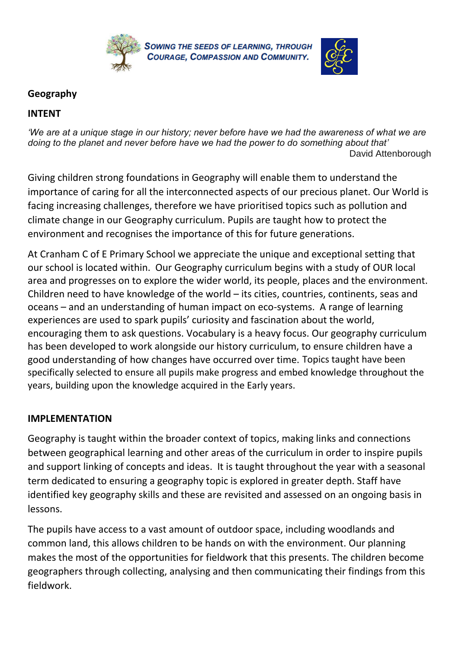



## **Geography**

## **INTENT**

*'We are at a unique stage in our history; never before have we had the awareness of what we are doing to the planet and never before have we had the power to do something about that'* David Attenborough

Giving children strong foundations in Geography will enable them to understand the importance of caring for all the interconnected aspects of our precious planet. Our World is facing increasing challenges, therefore we have prioritised topics such as pollution and climate change in our Geography curriculum. Pupils are taught how to protect the environment and recognises the importance of this for future generations.

At Cranham C of E Primary School we appreciate the unique and exceptional setting that our school is located within. Our Geography curriculum begins with a study of OUR local area and progresses on to explore the wider world, its people, places and the environment. Children need to have knowledge of the world – its cities, countries, continents, seas and oceans – and an understanding of human impact on eco-systems. A range of learning experiences are used to spark pupils' curiosity and fascination about the world, encouraging them to ask questions. Vocabulary is a heavy focus. Our geography curriculum has been developed to work alongside our history curriculum, to ensure children have a good understanding of how changes have occurred over time. Topics taught have been specifically selected to ensure all pupils make progress and embed knowledge throughout the years, building upon the knowledge acquired in the Early years.

## **IMPLEMENTATION**

Geography is taught within the broader context of topics, making links and connections between geographical learning and other areas of the curriculum in order to inspire pupils and support linking of concepts and ideas. It is taught throughout the year with a seasonal term dedicated to ensuring a geography topic is explored in greater depth. Staff have identified key geography skills and these are revisited and assessed on an ongoing basis in lessons.

The pupils have access to a vast amount of outdoor space, including woodlands and common land, this allows children to be hands on with the environment. Our planning makes the most of the opportunities for fieldwork that this presents. The children become geographers through collecting, analysing and then communicating their findings from this fieldwork.